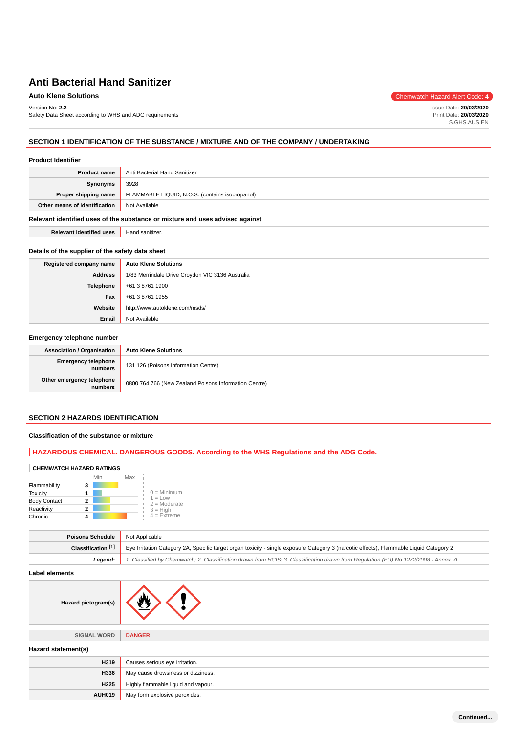Version No: **2.2**

Safety Data Sheet according to WHS and ADG requirements

**Auto Klene Solutions** Chemwatch Hazard Alert Code: 4

Issue Date: **20/03/2020** Print Date: **20/03/2020** S.GHS.AUS.EN

# **SECTION 1 IDENTIFICATION OF THE SUBSTANCE / MIXTURE AND OF THE COMPANY / UNDERTAKING**

#### **Product Identifier**

| <b>Product name</b>           | Anti Bacterial Hand Sanitizer                   |
|-------------------------------|-------------------------------------------------|
| Synonyms                      | 3928                                            |
| Proper shipping name          | FLAMMABLE LIQUID, N.O.S. (contains isopropanol) |
| Other means of identification | Not Available                                   |

#### **Relevant identified uses of the substance or mixture and uses advised against**

**Relevant identified uses** | Hand sanitizer.

#### **Details of the supplier of the safety data sheet**

| Registered company name | <b>Auto Klene Solutions</b>                      |
|-------------------------|--------------------------------------------------|
| Address                 | 1/83 Merrindale Drive Croydon VIC 3136 Australia |
| Telephone               | +61 3 8761 1900                                  |
| Fax                     | +61 3 8761 1955                                  |
| Website                 | http://www.autoklene.com/msds/                   |
| Email                   | Not Available                                    |

# **Emergency telephone number**

| <b>Association / Organisation</b>    | <b>Auto Klene Solutions</b>                           |
|--------------------------------------|-------------------------------------------------------|
| Emergency telephone<br>numbers       | 131 126 (Poisons Information Centre)                  |
| Other emergency telephone<br>numbers | 0800 764 766 (New Zealand Poisons Information Centre) |

#### **SECTION 2 HAZARDS IDENTIFICATION**

### **Classification of the substance or mixture**

# **HAZARDOUS CHEMICAL. DANGEROUS GOODS. According to the WHS Regulations and the ADG Code.**

# **CHEMWATCH HAZARD RATINGS**

|                     | Min | Max                         |
|---------------------|-----|-----------------------------|
| Flammability        |     |                             |
| <b>Toxicity</b>     |     | $0 =$ Minimum               |
| <b>Body Contact</b> |     | $1 = Low$<br>$2 =$ Moderate |
| Reactivity          | 2   | $3 =$ High                  |
| Chronic             |     | $4$ = Extreme               |

| Poisons Schedule              | Not Applicable                                                                                                                          |
|-------------------------------|-----------------------------------------------------------------------------------------------------------------------------------------|
| Classification <sup>[1]</sup> | Eye Irritation Category 2A, Specific target organ toxicity - single exposure Category 3 (narcotic effects), Flammable Liquid Category 2 |
| Leaend:                       | 1. Classified by Chemwatch; 2. Classification drawn from HCIS; 3. Classification drawn from Requlation (EU) No 1272/2008 - Annex VI     |

**Label elements**

| Hazard pictogram(s) |  |
|---------------------|--|

| <b>SIGNAL WORD</b>  | <b>DANGER</b>                       |
|---------------------|-------------------------------------|
| Hazard statement(s) |                                     |
| H319                | Causes serious eye irritation.      |
| H336                | May cause drowsiness or dizziness.  |
| H <sub>225</sub>    | Highly flammable liquid and vapour. |
| <b>AUH019</b>       | May form explosive peroxides.       |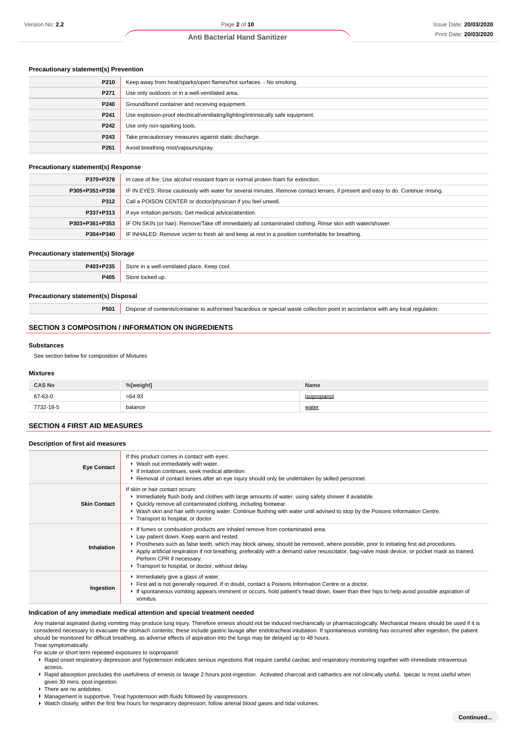#### **Precautionary statement(s) Prevention**

| P210             | Keep away from heat/sparks/open flames/hot surfaces. - No smoking.                |
|------------------|-----------------------------------------------------------------------------------|
| P271             | Use only outdoors or in a well-ventilated area.                                   |
| P240             | Ground/bond container and receiving equipment.                                    |
| P241             | Use explosion-proof electrical/ventilating/lighting/intrinsically safe equipment. |
| P242             | Use only non-sparking tools.                                                      |
| P243             | Take precautionary measures against static discharge.                             |
| P <sub>261</sub> | Avoid breathing mist/vapours/spray.                                               |

#### **Precautionary statement(s) Response**

| P370+P378      | In case of fire: Use alcohol resistant foam or normal protein foam for extinction.                                               |
|----------------|----------------------------------------------------------------------------------------------------------------------------------|
| P305+P351+P338 | IF IN EYES: Rinse cautiously with water for several minutes. Remove contact lenses, if present and easy to do. Continue rinsing. |
| P312           | Call a POISON CENTER or doctor/physician if you feel unwell.                                                                     |
| P337+P313      | If eye irritation persists: Get medical advice/attention.                                                                        |
| P303+P361+P353 | IF ON SKIN (or hair): Remove/Take off immediately all contaminated clothing. Rinse skin with water/shower.                       |
| P304+P340      | IF INHALED: Remove victim to fresh air and keep at rest in a position comfortable for breathing.                                 |

#### **Precautionary statement(s) Storage**

| . DOO'<br>D <sub>40</sub> | ٠.<br>$-1410$<br>$n \cdot n$<br>™eep cool.<br>100A<br>$\sqrt{2}$<br>$  -$ |
|---------------------------|---------------------------------------------------------------------------|
| <b>DANE</b>               | .                                                                         |

#### **Precautionary statement(s) Disposal**

**P501** Dispose of contents/container to authorised hazardous or special waste collection point in accordance with any local regulation.

#### **SECTION 3 COMPOSITION / INFORMATION ON INGREDIENTS**

#### **Substances**

See section below for composition of Mixtures

#### **Mixtures**

| <b>CAS No</b> | %[weight] | Name        |
|---------------|-----------|-------------|
| 67-63-0       | >64.93    | isopropanol |
| 7732-18-5     | balance   | water       |

# **SECTION 4 FIRST AID MEASURES**

#### **Description of first aid measures**

| <b>Eye Contact</b>  | If this product comes in contact with eyes:<br>▶ Wash out immediately with water.<br>If irritation continues, seek medical attention.<br>▶ Removal of contact lenses after an eye injury should only be undertaken by skilled personnel.                                                                                                                                                                                                                                                          |
|---------------------|---------------------------------------------------------------------------------------------------------------------------------------------------------------------------------------------------------------------------------------------------------------------------------------------------------------------------------------------------------------------------------------------------------------------------------------------------------------------------------------------------|
| <b>Skin Contact</b> | If skin or hair contact occurs:<br>Immediately flush body and clothes with large amounts of water, using safety shower if available.<br>• Quickly remove all contaminated clothing, including footwear.<br>► Wash skin and hair with running water. Continue flushing with water until advised to stop by the Poisons Information Centre.<br>Transport to hospital, or doctor.                                                                                                                    |
| Inhalation          | If fumes or combustion products are inhaled remove from contaminated area.<br>Lay patient down. Keep warm and rested.<br>▶ Prostheses such as false teeth, which may block airway, should be removed, where possible, prior to initiating first aid procedures.<br>Apply artificial respiration if not breathing, preferably with a demand valve resuscitator, bag-valve mask device, or pocket mask as trained.<br>Perform CPR if necessary.<br>Transport to hospital, or doctor, without delay. |
| Ingestion           | Immediately give a glass of water.<br>First aid is not generally required. If in doubt, contact a Poisons Information Centre or a doctor.<br>If spontaneous vomiting appears imminent or occurs, hold patient's head down, lower than their hips to help avoid possible aspiration of<br>vomitus.                                                                                                                                                                                                 |

#### **Indication of any immediate medical attention and special treatment needed**

Any material aspirated during vomiting may produce lung injury. Therefore emesis should not be induced mechanically or pharmacologically. Mechanical means should be used if it is considered necessary to evacuate the stomach contents; these include gastric lavage after endotracheal intubation. If spontaneous vomiting has occurred after ingestion, the patient should be monitored for difficult breathing, as adverse effects of aspiration into the lungs may be delayed up to 48 hours. Treat symptomatically.

For acute or short term repeated exposures to isopropanol:

- ▶ Rapid onset respiratory depression and hypotension indicates serious ingestions that require careful cardiac and respiratory monitoring together with immediate intravenous access.
- ▶ Rapid absorption precludes the usefulness of emesis or lavage 2 hours post-ingestion. Activated charcoal and cathartics are not clinically useful. Ipecac is most useful when given 30 mins. post-ingestion.
- There are no antidotes.
- Management is supportive. Treat hypotension with fluids followed by vasopressors.
- Watch closely, within the first few hours for respiratory depression; follow arterial blood gases and tidal volumes.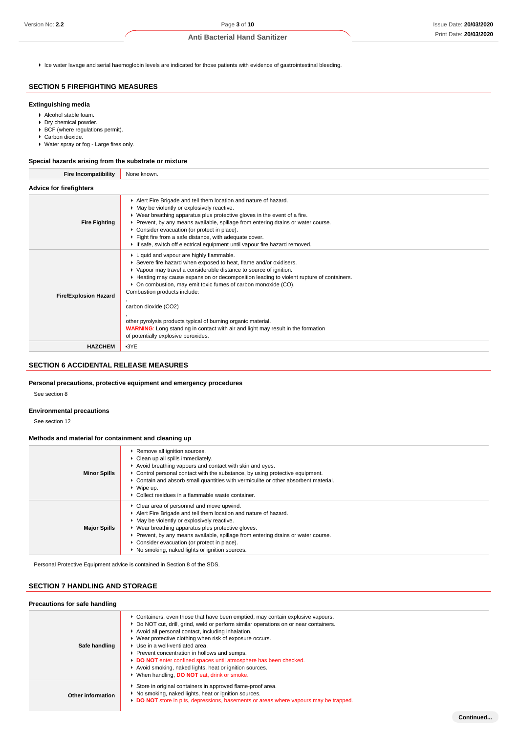**Continued...**

Ice water lavage and serial haemoglobin levels are indicated for those patients with evidence of gastrointestinal bleeding.

# **SECTION 5 FIREFIGHTING MEASURES**

#### **Extinguishing media**

- Alcohol stable foam.
- **Dry chemical powder.**
- BCF (where regulations permit).
- ▶ Carbon dioxide.
- ▶ Water spray or fog Large fires only.

#### **Special hazards arising from the substrate or mixture**

| <b>Fire Incompatibility</b>    | None known.                                                                                                                                                                                                                                                                                                                                                                                                                                                                                                                                                                                                  |
|--------------------------------|--------------------------------------------------------------------------------------------------------------------------------------------------------------------------------------------------------------------------------------------------------------------------------------------------------------------------------------------------------------------------------------------------------------------------------------------------------------------------------------------------------------------------------------------------------------------------------------------------------------|
| <b>Advice for firefighters</b> |                                                                                                                                                                                                                                                                                                                                                                                                                                                                                                                                                                                                              |
| <b>Fire Fighting</b>           | Alert Fire Brigade and tell them location and nature of hazard.<br>• May be violently or explosively reactive.<br>▶ Wear breathing apparatus plus protective gloves in the event of a fire.<br>▶ Prevent, by any means available, spillage from entering drains or water course.<br>Consider evacuation (or protect in place).<br>Fight fire from a safe distance, with adequate cover.<br>If safe, switch off electrical equipment until vapour fire hazard removed.                                                                                                                                        |
| <b>Fire/Explosion Hazard</b>   | ▶ Liquid and vapour are highly flammable.<br>Severe fire hazard when exposed to heat, flame and/or oxidisers.<br>▶ Vapour may travel a considerable distance to source of ignition.<br>► Heating may cause expansion or decomposition leading to violent rupture of containers.<br>• On combustion, may emit toxic fumes of carbon monoxide (CO).<br>Combustion products include:<br>carbon dioxide (CO2)<br>other pyrolysis products typical of burning organic material.<br><b>WARNING:</b> Long standing in contact with air and light may result in the formation<br>of potentially explosive peroxides. |
| <b>HAZCHEM</b>                 | $-3YE$                                                                                                                                                                                                                                                                                                                                                                                                                                                                                                                                                                                                       |

# **SECTION 6 ACCIDENTAL RELEASE MEASURES**

#### **Personal precautions, protective equipment and emergency procedures**

See section 8

#### **Environmental precautions**

See section 12

#### **Methods and material for containment and cleaning up**

| <b>Minor Spills</b> | ▶ Remove all ignition sources.<br>• Clean up all spills immediately.<br>Avoid breathing vapours and contact with skin and eyes.<br>$\triangleright$ Control personal contact with the substance, by using protective equipment.<br>► Contain and absorb small quantities with vermiculite or other absorbent material.<br>$\blacktriangleright$ Wipe up.<br>• Collect residues in a flammable waste container. |
|---------------------|----------------------------------------------------------------------------------------------------------------------------------------------------------------------------------------------------------------------------------------------------------------------------------------------------------------------------------------------------------------------------------------------------------------|
| <b>Major Spills</b> | ▶ Clear area of personnel and move upwind.<br>Alert Fire Brigade and tell them location and nature of hazard.<br>• May be violently or explosively reactive.<br>▶ Wear breathing apparatus plus protective gloves.<br>► Prevent, by any means available, spillage from entering drains or water course.<br>• Consider evacuation (or protect in place).<br>▶ No smoking, naked lights or ignition sources.     |

Personal Protective Equipment advice is contained in Section 8 of the SDS.

# **SECTION 7 HANDLING AND STORAGE**

| Precautions for safe handling |                                                                                                                                                                                                                                                                                                                                                                                                                                                                                                                                                           |
|-------------------------------|-----------------------------------------------------------------------------------------------------------------------------------------------------------------------------------------------------------------------------------------------------------------------------------------------------------------------------------------------------------------------------------------------------------------------------------------------------------------------------------------------------------------------------------------------------------|
| Safe handling                 | ► Containers, even those that have been emptied, may contain explosive vapours.<br>▶ Do NOT cut, drill, grind, weld or perform similar operations on or near containers.<br>Avoid all personal contact, including inhalation.<br>▶ Wear protective clothing when risk of exposure occurs.<br>▶ Use in a well-ventilated area.<br>Prevent concentration in hollows and sumps.<br>DO NOT enter confined spaces until atmosphere has been checked.<br>Avoid smoking, naked lights, heat or ignition sources.<br>▶ When handling, DO NOT eat, drink or smoke. |
| Other information             | Store in original containers in approved flame-proof area.<br>• No smoking, naked lights, heat or ignition sources.<br>DO NOT store in pits, depressions, basements or areas where vapours may be trapped.                                                                                                                                                                                                                                                                                                                                                |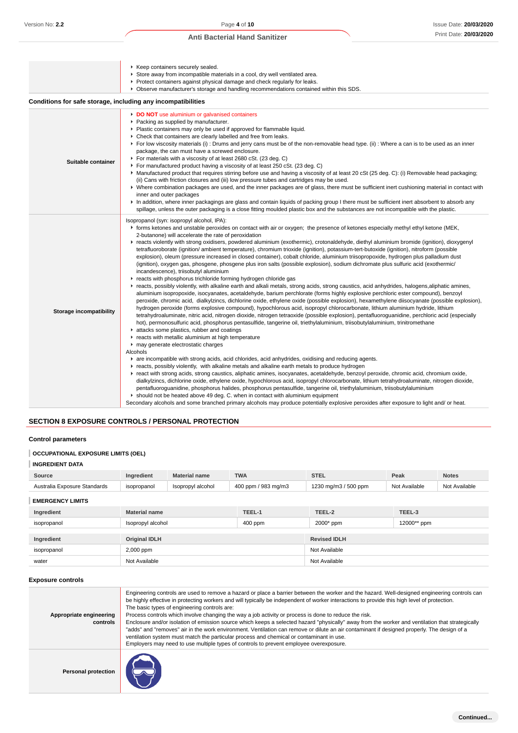| Version No: 2.2                                                                            |                                                                                                                                                                                                                                                                                                                                                                                                                                                                                                                                                                                                                                                                                                                                                                                                                                                                                                                                                                                                                                                                                                                                                                                                                                                                                                                                                                                                                                                                                                                                                                                                                                                                                                                                                                                                                                                                                                                                                                                                                                                                                                                                                                                                                                                                                                                                                                                                                                                                                                                                                                                                                                                                                                                                                                                                                        |                                                                                                                                                                                                                                                                                                                                                                                                                                                                                                                                                                                                                                                                                                                                                                                                                                                                                                                                                                                                                                                                                                                                                                                                                                                                                                                       | Page 4 of 10                                                                                                                                                                                                                                                                                |                                                                                                                                                                                                                                                                                                                                                                                                                                                                                                                                                                                                  |               | Issue Date: 20/03/202 |
|--------------------------------------------------------------------------------------------|------------------------------------------------------------------------------------------------------------------------------------------------------------------------------------------------------------------------------------------------------------------------------------------------------------------------------------------------------------------------------------------------------------------------------------------------------------------------------------------------------------------------------------------------------------------------------------------------------------------------------------------------------------------------------------------------------------------------------------------------------------------------------------------------------------------------------------------------------------------------------------------------------------------------------------------------------------------------------------------------------------------------------------------------------------------------------------------------------------------------------------------------------------------------------------------------------------------------------------------------------------------------------------------------------------------------------------------------------------------------------------------------------------------------------------------------------------------------------------------------------------------------------------------------------------------------------------------------------------------------------------------------------------------------------------------------------------------------------------------------------------------------------------------------------------------------------------------------------------------------------------------------------------------------------------------------------------------------------------------------------------------------------------------------------------------------------------------------------------------------------------------------------------------------------------------------------------------------------------------------------------------------------------------------------------------------------------------------------------------------------------------------------------------------------------------------------------------------------------------------------------------------------------------------------------------------------------------------------------------------------------------------------------------------------------------------------------------------------------------------------------------------------------------------------------------------|-----------------------------------------------------------------------------------------------------------------------------------------------------------------------------------------------------------------------------------------------------------------------------------------------------------------------------------------------------------------------------------------------------------------------------------------------------------------------------------------------------------------------------------------------------------------------------------------------------------------------------------------------------------------------------------------------------------------------------------------------------------------------------------------------------------------------------------------------------------------------------------------------------------------------------------------------------------------------------------------------------------------------------------------------------------------------------------------------------------------------------------------------------------------------------------------------------------------------------------------------------------------------------------------------------------------------|---------------------------------------------------------------------------------------------------------------------------------------------------------------------------------------------------------------------------------------------------------------------------------------------|--------------------------------------------------------------------------------------------------------------------------------------------------------------------------------------------------------------------------------------------------------------------------------------------------------------------------------------------------------------------------------------------------------------------------------------------------------------------------------------------------------------------------------------------------------------------------------------------------|---------------|-----------------------|
|                                                                                            |                                                                                                                                                                                                                                                                                                                                                                                                                                                                                                                                                                                                                                                                                                                                                                                                                                                                                                                                                                                                                                                                                                                                                                                                                                                                                                                                                                                                                                                                                                                                                                                                                                                                                                                                                                                                                                                                                                                                                                                                                                                                                                                                                                                                                                                                                                                                                                                                                                                                                                                                                                                                                                                                                                                                                                                                                        |                                                                                                                                                                                                                                                                                                                                                                                                                                                                                                                                                                                                                                                                                                                                                                                                                                                                                                                                                                                                                                                                                                                                                                                                                                                                                                                       | <b>Anti Bacterial Hand Sanitizer</b>                                                                                                                                                                                                                                                        |                                                                                                                                                                                                                                                                                                                                                                                                                                                                                                                                                                                                  |               | Print Date: 20/03/202 |
|                                                                                            |                                                                                                                                                                                                                                                                                                                                                                                                                                                                                                                                                                                                                                                                                                                                                                                                                                                                                                                                                                                                                                                                                                                                                                                                                                                                                                                                                                                                                                                                                                                                                                                                                                                                                                                                                                                                                                                                                                                                                                                                                                                                                                                                                                                                                                                                                                                                                                                                                                                                                                                                                                                                                                                                                                                                                                                                                        | ▶ Keep containers securely sealed.                                                                                                                                                                                                                                                                                                                                                                                                                                                                                                                                                                                                                                                                                                                                                                                                                                                                                                                                                                                                                                                                                                                                                                                                                                                                                    | Store away from incompatible materials in a cool, dry well ventilated area.<br>Protect containers against physical damage and check regularly for leaks.<br>▶ Observe manufacturer's storage and handling recommendations contained within this SDS.                                        |                                                                                                                                                                                                                                                                                                                                                                                                                                                                                                                                                                                                  |               |                       |
| Conditions for safe storage, including any incompatibilities                               |                                                                                                                                                                                                                                                                                                                                                                                                                                                                                                                                                                                                                                                                                                                                                                                                                                                                                                                                                                                                                                                                                                                                                                                                                                                                                                                                                                                                                                                                                                                                                                                                                                                                                                                                                                                                                                                                                                                                                                                                                                                                                                                                                                                                                                                                                                                                                                                                                                                                                                                                                                                                                                                                                                                                                                                                                        |                                                                                                                                                                                                                                                                                                                                                                                                                                                                                                                                                                                                                                                                                                                                                                                                                                                                                                                                                                                                                                                                                                                                                                                                                                                                                                                       |                                                                                                                                                                                                                                                                                             |                                                                                                                                                                                                                                                                                                                                                                                                                                                                                                                                                                                                  |               |                       |
| Suitable container                                                                         |                                                                                                                                                                                                                                                                                                                                                                                                                                                                                                                                                                                                                                                                                                                                                                                                                                                                                                                                                                                                                                                                                                                                                                                                                                                                                                                                                                                                                                                                                                                                                                                                                                                                                                                                                                                                                                                                                                                                                                                                                                                                                                                                                                                                                                                                                                                                                                                                                                                                                                                                                                                                                                                                                                                                                                                                                        | DO NOT use aluminium or galvanised containers<br>▶ Packing as supplied by manufacturer.<br>• Plastic containers may only be used if approved for flammable liquid.<br>• Check that containers are clearly labelled and free from leaks.<br>► For low viscosity materials (i) : Drums and jerry cans must be of the non-removable head type. (ii) : Where a can is to be used as an inner<br>package, the can must have a screwed enclosure.<br>For materials with a viscosity of at least 2680 cSt. (23 deg. C)<br>► For manufactured product having a viscosity of at least 250 cSt. (23 deg. C)<br>▶ Manufactured product that requires stirring before use and having a viscosity of at least 20 cSt (25 deg. C): (i) Removable head packaging;<br>(ii) Cans with friction closures and (iii) low pressure tubes and cartridges may be used.<br>• Where combination packages are used, and the inner packages are of glass, there must be sufficient inert cushioning material in contact with<br>inner and outer packages<br>In addition, where inner packagings are glass and contain liquids of packing group I there must be sufficient inert absorbent to absorb any<br>spillage, unless the outer packaging is a close fitting moulded plastic box and the substances are not incompatible with the plastic. |                                                                                                                                                                                                                                                                                             |                                                                                                                                                                                                                                                                                                                                                                                                                                                                                                                                                                                                  |               |                       |
| <b>Storage incompatibility</b><br><b>SECTION 8 EXPOSURE CONTROLS / PERSONAL PROTECTION</b> | Isopropanol (syn: isopropyl alcohol, IPA):<br>F forms ketones and unstable peroxides on contact with air or oxygen; the presence of ketones especially methyl ethyl ketone (MEK,<br>2-butanone) will accelerate the rate of peroxidation<br>F reacts violently with strong oxidisers, powdered aluminium (exothermic), crotonaldehyde, diethyl aluminium bromide (ignition), dioxygenyl<br>tetrafluoroborate (ignition/ ambient temperature), chromium trioxide (ignition), potassium-tert-butoxide (ignition), nitroform (possible<br>explosion), oleum (pressure increased in closed container), cobalt chloride, aluminium triisopropoxide, hydrogen plus palladium dust<br>(ignition), oxygen gas, phosgene, phosgene plus iron salts (possible explosion), sodium dichromate plus sulfuric acid (exothermic/<br>incandescence), triisobutyl aluminium<br>reacts with phosphorus trichloride forming hydrogen chloride gas<br>F reacts, possibly violently, with alkaline earth and alkali metals, strong acids, strong caustics, acid anhydrides, halogens, aliphatic amines,<br>aluminium isopropoxide, isocyanates, acetaldehyde, barium perchlorate (forms highly explosive perchloric ester compound), benzoyl<br>peroxide, chromic acid, dialkylzincs, dichlorine oxide, ethylene oxide (possible explosion), hexamethylene diisocyanate (possible explosion),<br>hydrogen peroxide (forms explosive compound), hypochlorous acid, isopropyl chlorocarbonate, lithium aluminium hydride, lithium<br>tetrahydroaluminate, nitric acid, nitrogen dioxide, nitrogen tetraoxide (possible explosion), pentafluoroguanidine, perchloric acid (especially<br>hot), permonosulfuric acid, phosphorus pentasulfide, tangerine oil, triethylaluminium, triisobutylaluminium, trinitromethane<br>attacks some plastics, rubber and coatings<br>reacts with metallic aluminium at high temperature<br>may generate electrostatic charges<br>Alcohols<br>are incompatible with strong acids, acid chlorides, acid anhydrides, oxidising and reducing agents.<br>F reacts, possibly violently, with alkaline metals and alkaline earth metals to produce hydrogen<br>F react with strong acids, strong caustics, aliphatic amines, isocyanates, acetaldehyde, benzoyl peroxide, chromic acid, chromium oxide,<br>dialkylzincs, dichlorine oxide, ethylene oxide, hypochlorous acid, isopropyl chlorocarbonate, lithium tetrahydroaluminate, nitrogen dioxide,<br>pentafluoroguanidine, phosphorus halides, phosphorus pentasulfide, tangerine oil, triethylaluminium, triisobutylaluminium<br>► should not be heated above 49 deg. C. when in contact with aluminium equipment<br>Secondary alcohols and some branched primary alcohols may produce potentially explosive peroxides after exposure to light and/ or heat. |                                                                                                                                                                                                                                                                                                                                                                                                                                                                                                                                                                                                                                                                                                                                                                                                                                                                                                                                                                                                                                                                                                                                                                                                                                                                                                                       |                                                                                                                                                                                                                                                                                             |                                                                                                                                                                                                                                                                                                                                                                                                                                                                                                                                                                                                  |               |                       |
| <b>Control parameters</b><br><b>OCCUPATIONAL EXPOSURE LIMITS (OEL)</b>                     |                                                                                                                                                                                                                                                                                                                                                                                                                                                                                                                                                                                                                                                                                                                                                                                                                                                                                                                                                                                                                                                                                                                                                                                                                                                                                                                                                                                                                                                                                                                                                                                                                                                                                                                                                                                                                                                                                                                                                                                                                                                                                                                                                                                                                                                                                                                                                                                                                                                                                                                                                                                                                                                                                                                                                                                                                        |                                                                                                                                                                                                                                                                                                                                                                                                                                                                                                                                                                                                                                                                                                                                                                                                                                                                                                                                                                                                                                                                                                                                                                                                                                                                                                                       |                                                                                                                                                                                                                                                                                             |                                                                                                                                                                                                                                                                                                                                                                                                                                                                                                                                                                                                  |               |                       |
| <b>INGREDIENT DATA</b>                                                                     |                                                                                                                                                                                                                                                                                                                                                                                                                                                                                                                                                                                                                                                                                                                                                                                                                                                                                                                                                                                                                                                                                                                                                                                                                                                                                                                                                                                                                                                                                                                                                                                                                                                                                                                                                                                                                                                                                                                                                                                                                                                                                                                                                                                                                                                                                                                                                                                                                                                                                                                                                                                                                                                                                                                                                                                                                        |                                                                                                                                                                                                                                                                                                                                                                                                                                                                                                                                                                                                                                                                                                                                                                                                                                                                                                                                                                                                                                                                                                                                                                                                                                                                                                                       |                                                                                                                                                                                                                                                                                             |                                                                                                                                                                                                                                                                                                                                                                                                                                                                                                                                                                                                  |               |                       |
| Source                                                                                     | Ingredient                                                                                                                                                                                                                                                                                                                                                                                                                                                                                                                                                                                                                                                                                                                                                                                                                                                                                                                                                                                                                                                                                                                                                                                                                                                                                                                                                                                                                                                                                                                                                                                                                                                                                                                                                                                                                                                                                                                                                                                                                                                                                                                                                                                                                                                                                                                                                                                                                                                                                                                                                                                                                                                                                                                                                                                                             | <b>Material name</b>                                                                                                                                                                                                                                                                                                                                                                                                                                                                                                                                                                                                                                                                                                                                                                                                                                                                                                                                                                                                                                                                                                                                                                                                                                                                                                  | <b>TWA</b>                                                                                                                                                                                                                                                                                  | <b>STEL</b>                                                                                                                                                                                                                                                                                                                                                                                                                                                                                                                                                                                      | Peak          | <b>Notes</b>          |
| Australia Exposure Standards                                                               | isopropanol                                                                                                                                                                                                                                                                                                                                                                                                                                                                                                                                                                                                                                                                                                                                                                                                                                                                                                                                                                                                                                                                                                                                                                                                                                                                                                                                                                                                                                                                                                                                                                                                                                                                                                                                                                                                                                                                                                                                                                                                                                                                                                                                                                                                                                                                                                                                                                                                                                                                                                                                                                                                                                                                                                                                                                                                            | Isopropyl alcohol                                                                                                                                                                                                                                                                                                                                                                                                                                                                                                                                                                                                                                                                                                                                                                                                                                                                                                                                                                                                                                                                                                                                                                                                                                                                                                     | 400 ppm / 983 mg/m3                                                                                                                                                                                                                                                                         | 1230 mg/m3 / 500 ppm                                                                                                                                                                                                                                                                                                                                                                                                                                                                                                                                                                             | Not Available | Not Available         |
| <b>EMERGENCY LIMITS</b>                                                                    |                                                                                                                                                                                                                                                                                                                                                                                                                                                                                                                                                                                                                                                                                                                                                                                                                                                                                                                                                                                                                                                                                                                                                                                                                                                                                                                                                                                                                                                                                                                                                                                                                                                                                                                                                                                                                                                                                                                                                                                                                                                                                                                                                                                                                                                                                                                                                                                                                                                                                                                                                                                                                                                                                                                                                                                                                        |                                                                                                                                                                                                                                                                                                                                                                                                                                                                                                                                                                                                                                                                                                                                                                                                                                                                                                                                                                                                                                                                                                                                                                                                                                                                                                                       |                                                                                                                                                                                                                                                                                             |                                                                                                                                                                                                                                                                                                                                                                                                                                                                                                                                                                                                  |               |                       |
| Ingredient                                                                                 | <b>Material name</b>                                                                                                                                                                                                                                                                                                                                                                                                                                                                                                                                                                                                                                                                                                                                                                                                                                                                                                                                                                                                                                                                                                                                                                                                                                                                                                                                                                                                                                                                                                                                                                                                                                                                                                                                                                                                                                                                                                                                                                                                                                                                                                                                                                                                                                                                                                                                                                                                                                                                                                                                                                                                                                                                                                                                                                                                   |                                                                                                                                                                                                                                                                                                                                                                                                                                                                                                                                                                                                                                                                                                                                                                                                                                                                                                                                                                                                                                                                                                                                                                                                                                                                                                                       | TEEL-1                                                                                                                                                                                                                                                                                      | TEEL-2                                                                                                                                                                                                                                                                                                                                                                                                                                                                                                                                                                                           | TEEL-3        |                       |
| isopropanol                                                                                | Isopropyl alcohol                                                                                                                                                                                                                                                                                                                                                                                                                                                                                                                                                                                                                                                                                                                                                                                                                                                                                                                                                                                                                                                                                                                                                                                                                                                                                                                                                                                                                                                                                                                                                                                                                                                                                                                                                                                                                                                                                                                                                                                                                                                                                                                                                                                                                                                                                                                                                                                                                                                                                                                                                                                                                                                                                                                                                                                                      |                                                                                                                                                                                                                                                                                                                                                                                                                                                                                                                                                                                                                                                                                                                                                                                                                                                                                                                                                                                                                                                                                                                                                                                                                                                                                                                       | 400 ppm                                                                                                                                                                                                                                                                                     | 2000* ppm                                                                                                                                                                                                                                                                                                                                                                                                                                                                                                                                                                                        | 12000** ppm   |                       |
| Ingredient                                                                                 | <b>Original IDLH</b>                                                                                                                                                                                                                                                                                                                                                                                                                                                                                                                                                                                                                                                                                                                                                                                                                                                                                                                                                                                                                                                                                                                                                                                                                                                                                                                                                                                                                                                                                                                                                                                                                                                                                                                                                                                                                                                                                                                                                                                                                                                                                                                                                                                                                                                                                                                                                                                                                                                                                                                                                                                                                                                                                                                                                                                                   |                                                                                                                                                                                                                                                                                                                                                                                                                                                                                                                                                                                                                                                                                                                                                                                                                                                                                                                                                                                                                                                                                                                                                                                                                                                                                                                       |                                                                                                                                                                                                                                                                                             | <b>Revised IDLH</b>                                                                                                                                                                                                                                                                                                                                                                                                                                                                                                                                                                              |               |                       |
| isopropanol                                                                                | 2,000 ppm                                                                                                                                                                                                                                                                                                                                                                                                                                                                                                                                                                                                                                                                                                                                                                                                                                                                                                                                                                                                                                                                                                                                                                                                                                                                                                                                                                                                                                                                                                                                                                                                                                                                                                                                                                                                                                                                                                                                                                                                                                                                                                                                                                                                                                                                                                                                                                                                                                                                                                                                                                                                                                                                                                                                                                                                              |                                                                                                                                                                                                                                                                                                                                                                                                                                                                                                                                                                                                                                                                                                                                                                                                                                                                                                                                                                                                                                                                                                                                                                                                                                                                                                                       | Not Available                                                                                                                                                                                                                                                                               |                                                                                                                                                                                                                                                                                                                                                                                                                                                                                                                                                                                                  |               |                       |
| water                                                                                      | Not Available<br>Not Available                                                                                                                                                                                                                                                                                                                                                                                                                                                                                                                                                                                                                                                                                                                                                                                                                                                                                                                                                                                                                                                                                                                                                                                                                                                                                                                                                                                                                                                                                                                                                                                                                                                                                                                                                                                                                                                                                                                                                                                                                                                                                                                                                                                                                                                                                                                                                                                                                                                                                                                                                                                                                                                                                                                                                                                         |                                                                                                                                                                                                                                                                                                                                                                                                                                                                                                                                                                                                                                                                                                                                                                                                                                                                                                                                                                                                                                                                                                                                                                                                                                                                                                                       |                                                                                                                                                                                                                                                                                             |                                                                                                                                                                                                                                                                                                                                                                                                                                                                                                                                                                                                  |               |                       |
| <b>Exposure controls</b>                                                                   |                                                                                                                                                                                                                                                                                                                                                                                                                                                                                                                                                                                                                                                                                                                                                                                                                                                                                                                                                                                                                                                                                                                                                                                                                                                                                                                                                                                                                                                                                                                                                                                                                                                                                                                                                                                                                                                                                                                                                                                                                                                                                                                                                                                                                                                                                                                                                                                                                                                                                                                                                                                                                                                                                                                                                                                                                        |                                                                                                                                                                                                                                                                                                                                                                                                                                                                                                                                                                                                                                                                                                                                                                                                                                                                                                                                                                                                                                                                                                                                                                                                                                                                                                                       |                                                                                                                                                                                                                                                                                             |                                                                                                                                                                                                                                                                                                                                                                                                                                                                                                                                                                                                  |               |                       |
| Appropriate engineering<br>controls                                                        |                                                                                                                                                                                                                                                                                                                                                                                                                                                                                                                                                                                                                                                                                                                                                                                                                                                                                                                                                                                                                                                                                                                                                                                                                                                                                                                                                                                                                                                                                                                                                                                                                                                                                                                                                                                                                                                                                                                                                                                                                                                                                                                                                                                                                                                                                                                                                                                                                                                                                                                                                                                                                                                                                                                                                                                                                        | The basic types of engineering controls are:                                                                                                                                                                                                                                                                                                                                                                                                                                                                                                                                                                                                                                                                                                                                                                                                                                                                                                                                                                                                                                                                                                                                                                                                                                                                          | Process controls which involve changing the way a job activity or process is done to reduce the risk.<br>ventilation system must match the particular process and chemical or contaminant in use.<br>Employers may need to use multiple types of controls to prevent employee overexposure. | Engineering controls are used to remove a hazard or place a barrier between the worker and the hazard. Well-designed engineering controls can<br>be highly effective in protecting workers and will typically be independent of worker interactions to provide this high level of protection.<br>Enclosure and/or isolation of emission source which keeps a selected hazard "physically" away from the worker and ventilation that strategically<br>"adds" and "removes" air in the work environment. Ventilation can remove or dilute an air contaminant if designed properly. The design of a |               |                       |
| <b>Personal protection</b>                                                                 |                                                                                                                                                                                                                                                                                                                                                                                                                                                                                                                                                                                                                                                                                                                                                                                                                                                                                                                                                                                                                                                                                                                                                                                                                                                                                                                                                                                                                                                                                                                                                                                                                                                                                                                                                                                                                                                                                                                                                                                                                                                                                                                                                                                                                                                                                                                                                                                                                                                                                                                                                                                                                                                                                                                                                                                                                        |                                                                                                                                                                                                                                                                                                                                                                                                                                                                                                                                                                                                                                                                                                                                                                                                                                                                                                                                                                                                                                                                                                                                                                                                                                                                                                                       |                                                                                                                                                                                                                                                                                             |                                                                                                                                                                                                                                                                                                                                                                                                                                                                                                                                                                                                  |               |                       |

# **SECTION 8 EXPOSURE CONTROLS / PERSONAL PROTECTION**

# **Control parameters**

# **OCCUPATIONAL EXPOSURE LIMITS (OEL)**

## **INGREDIENT DATA**

| Source                       | Ingredient           | <b>Material name</b> | <b>TWA</b>          | <b>STEL</b>          | Peak          | <b>Notes</b>  |
|------------------------------|----------------------|----------------------|---------------------|----------------------|---------------|---------------|
| Australia Exposure Standards | isopropanol          | Isopropyl alcohol    | 400 ppm / 983 mg/m3 | 1230 mg/m3 / 500 ppm | Not Available | Not Available |
| <b>EMERGENCY LIMITS</b>      |                      |                      |                     |                      |               |               |
| Ingredient                   | <b>Material name</b> |                      | TEEL-1              | TEEL-2               | TEEL-3        |               |
| isopropanol                  | Isopropyl alcohol    |                      | $400$ ppm           | 2000* ppm            | 12000** ppm   |               |
|                              |                      |                      |                     |                      |               |               |

| Ingredient  | <b>Original IDLH</b> | <b>Revised IDLH</b> |
|-------------|----------------------|---------------------|
| isopropanol | 2,000 ppm            | Not Available       |
| water       | Not Available        | Not Available       |

### **Exposure controls**

| Appropriate engineering<br>controls | Engineering controls are used to remove a hazard or place a barrier between the worker and the hazard. Well-designed engineering controls can<br>be highly effective in protecting workers and will typically be independent of worker interactions to provide this high level of protection.<br>The basic types of engineering controls are:<br>Process controls which involve changing the way a job activity or process is done to reduce the risk.<br>Enclosure and/or isolation of emission source which keeps a selected hazard "physically" away from the worker and ventilation that strategically<br>"adds" and "removes" air in the work environment. Ventilation can remove or dilute an air contaminant if designed properly. The design of a<br>ventilation system must match the particular process and chemical or contaminant in use.<br>Employers may need to use multiple types of controls to prevent employee overexposure. |
|-------------------------------------|-------------------------------------------------------------------------------------------------------------------------------------------------------------------------------------------------------------------------------------------------------------------------------------------------------------------------------------------------------------------------------------------------------------------------------------------------------------------------------------------------------------------------------------------------------------------------------------------------------------------------------------------------------------------------------------------------------------------------------------------------------------------------------------------------------------------------------------------------------------------------------------------------------------------------------------------------|
| Personal protection                 | $\sum$                                                                                                                                                                                                                                                                                                                                                                                                                                                                                                                                                                                                                                                                                                                                                                                                                                                                                                                                          |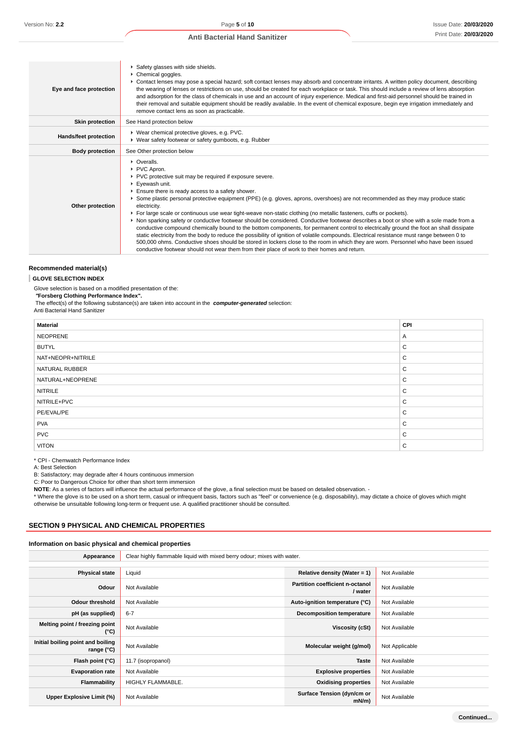| Eye and face protection      | Safety glasses with side shields.<br>Chemical goggles.<br>▶ Contact lenses may pose a special hazard; soft contact lenses may absorb and concentrate irritants. A written policy document, describing<br>the wearing of lenses or restrictions on use, should be created for each workplace or task. This should include a review of lens absorption<br>and adsorption for the class of chemicals in use and an account of injury experience. Medical and first-aid personnel should be trained in<br>their removal and suitable equipment should be readily available. In the event of chemical exposure, begin eye irrigation immediately and<br>remove contact lens as soon as practicable.                                                                                                                                                                                                                                                                                                                                                                                                                         |
|------------------------------|------------------------------------------------------------------------------------------------------------------------------------------------------------------------------------------------------------------------------------------------------------------------------------------------------------------------------------------------------------------------------------------------------------------------------------------------------------------------------------------------------------------------------------------------------------------------------------------------------------------------------------------------------------------------------------------------------------------------------------------------------------------------------------------------------------------------------------------------------------------------------------------------------------------------------------------------------------------------------------------------------------------------------------------------------------------------------------------------------------------------|
| <b>Skin protection</b>       | See Hand protection below                                                                                                                                                                                                                                                                                                                                                                                                                                                                                                                                                                                                                                                                                                                                                                                                                                                                                                                                                                                                                                                                                              |
| <b>Hands/feet protection</b> | ▶ Wear chemical protective gloves, e.g. PVC.<br>▶ Wear safety footwear or safety gumboots, e.g. Rubber                                                                                                                                                                                                                                                                                                                                                                                                                                                                                                                                                                                                                                                                                                                                                                                                                                                                                                                                                                                                                 |
| <b>Body protection</b>       | See Other protection below                                                                                                                                                                                                                                                                                                                                                                                                                                                                                                                                                                                                                                                                                                                                                                                                                                                                                                                                                                                                                                                                                             |
| Other protection             | • Overalls.<br>▶ PVC Apron.<br>▶ PVC protective suit may be required if exposure severe.<br>▶ Eyewash unit.<br>Ensure there is ready access to a safety shower.<br>▶ Some plastic personal protective equipment (PPE) (e.g. gloves, aprons, overshoes) are not recommended as they may produce static<br>electricity.<br>For large scale or continuous use wear tight-weave non-static clothing (no metallic fasteners, cuffs or pockets).<br>▶ Non sparking safety or conductive footwear should be considered. Conductive footwear describes a boot or shoe with a sole made from a<br>conductive compound chemically bound to the bottom components, for permanent control to electrically ground the foot an shall dissipate<br>static electricity from the body to reduce the possibility of ignition of volatile compounds. Electrical resistance must range between 0 to<br>500,000 ohms. Conductive shoes should be stored in lockers close to the room in which they are worn. Personnel who have been issued<br>conductive footwear should not wear them from their place of work to their homes and return. |

#### **Recommended material(s)**

#### **GLOVE SELECTION INDEX**

Glove selection is based on a modified presentation of the:

 **"Forsberg Clothing Performance Index".**

The effect(s) of the following substance(s) are taken into account in the **computer-generated** selection:

Anti Bacterial Hand Sanitizer

| <b>Material</b>   | CPI |
|-------------------|-----|
| <b>NEOPRENE</b>   | A   |
| <b>BUTYL</b>      | C   |
| NAT+NEOPR+NITRILE | C   |
| NATURAL RUBBER    | C   |
| NATURAL+NEOPRENE  | C   |
| <b>NITRILE</b>    | C   |
| NITRILE+PVC       | C   |
| PE/EVAL/PE        | C   |
| <b>PVA</b>        | C   |
| <b>PVC</b>        | C   |
| <b>VITON</b>      | C   |

\* CPI - Chemwatch Performance Index

A: Best Selection

B: Satisfactory; may degrade after 4 hours continuous immersion

C: Poor to Dangerous Choice for other than short term immersion

**NOTE**: As a series of factors will influence the actual performance of the glove, a final selection must be based on detailed observation. -

\* Where the glove is to be used on a short term, casual or infrequent basis, factors such as "feel" or convenience (e.g. disposability), may dictate a choice of gloves which might otherwise be unsuitable following long-term or frequent use. A qualified practitioner should be consulted.

#### **SECTION 9 PHYSICAL AND CHEMICAL PROPERTIES**

#### **Information on basic physical and chemical properties**

| Appearance                                      | Clear highly flammable liquid with mixed berry odour; mixes with water. |                                                   |                |
|-------------------------------------------------|-------------------------------------------------------------------------|---------------------------------------------------|----------------|
|                                                 |                                                                         |                                                   |                |
| <b>Physical state</b>                           | Liquid                                                                  | Relative density (Water = $1$ )                   | Not Available  |
| Odour                                           | Not Available                                                           | <b>Partition coefficient n-octanol</b><br>/ water | Not Available  |
| <b>Odour threshold</b>                          | Not Available                                                           | Auto-ignition temperature (°C)                    | Not Available  |
| pH (as supplied)                                | $6 - 7$                                                                 | Decomposition temperature                         | Not Available  |
| Melting point / freezing point<br>(°C)          | Not Available                                                           | Viscosity (cSt)                                   | Not Available  |
| Initial boiling point and boiling<br>range (°C) | Not Available                                                           | Molecular weight (g/mol)                          | Not Applicable |
| Flash point (°C)                                | 11.7 (isopropanol)                                                      | <b>Taste</b>                                      | Not Available  |
| <b>Evaporation rate</b>                         | Not Available                                                           | <b>Explosive properties</b>                       | Not Available  |
| Flammability                                    | HIGHLY FLAMMABLE.                                                       | <b>Oxidising properties</b>                       | Not Available  |
| Upper Explosive Limit (%)                       | Not Available                                                           | Surface Tension (dyn/cm or<br>mN/m                | Not Available  |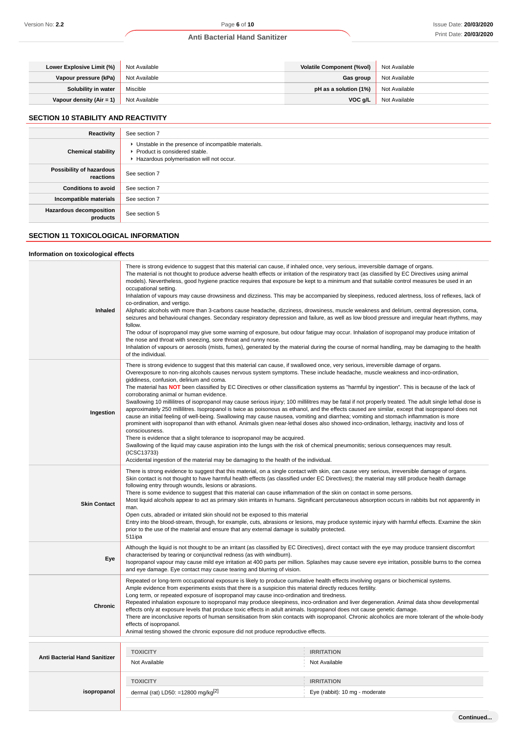| Lower Explosive Limit (%) | Not Available | <b>Volatile Component (%vol)</b> | Not Available |
|---------------------------|---------------|----------------------------------|---------------|
| Vapour pressure (kPa)     | Not Available | Gas group                        | Not Available |
| Solubility in water       | Miscible      | pH as a solution (1%)            | Not Available |
| Vapour density (Air = 1)  | Not Available | $VOC$ g/L                        | Not Available |

#### **SECTION 10 STABILITY AND REACTIVITY**

| Reactivity                            | See section 7                                                                                                                        |
|---------------------------------------|--------------------------------------------------------------------------------------------------------------------------------------|
| <b>Chemical stability</b>             | • Unstable in the presence of incompatible materials.<br>▶ Product is considered stable.<br>Hazardous polymerisation will not occur. |
| Possibility of hazardous<br>reactions | See section 7                                                                                                                        |
| <b>Conditions to avoid</b>            | See section 7                                                                                                                        |
| Incompatible materials                | See section 7                                                                                                                        |
| Hazardous decomposition<br>products   | See section 5                                                                                                                        |

# **SECTION 11 TOXICOLOGICAL INFORMATION**

**Information on toxicological effects**

#### **Inhaled** There is strong evidence to suggest that this material can cause, if inhaled once, very serious, irreversible damage of organs. The material is not thought to produce adverse health effects or irritation of the respiratory tract (as classified by EC Directives using animal models). Nevertheless, good hygiene practice requires that exposure be kept to a minimum and that suitable control measures be used in an occupational setting. Inhalation of vapours may cause drowsiness and dizziness. This may be accompanied by sleepiness, reduced alertness, loss of reflexes, lack of co-ordination, and vertigo. Aliphatic alcohols with more than 3-carbons cause headache, dizziness, drowsiness, muscle weakness and delirium, central depression, coma, seizures and behavioural changes. Secondary respiratory depression and failure, as well as low blood pressure and irregular heart rhythms, may follow. The odour of isopropanol may give some warning of exposure, but odour fatigue may occur. Inhalation of isopropanol may produce irritation of the nose and throat with sneezing, sore throat and runny nose. Inhalation of vapours or aerosols (mists, fumes), generated by the material during the course of normal handling, may be damaging to the health of the individual. **Ingestion** There is strong evidence to suggest that this material can cause, if swallowed once, very serious, irreversible damage of organs. Overexposure to non-ring alcohols causes nervous system symptoms. These include headache, muscle weakness and inco-ordination, giddiness, confusion, delirium and coma. The material has **NOT** been classified by EC Directives or other classification systems as "harmful by ingestion". This is because of the lack of corroborating animal or human evidence. Swallowing 10 millilitres of isopropanol may cause serious injury; 100 millilitres may be fatal if not properly treated. The adult single lethal dose is approximately 250 millilitres. Isopropanol is twice as poisonous as ethanol, and the effects caused are similar, except that isopropanol does not cause an initial feeling of well-being. Swallowing may cause nausea, vomiting and diarrhea; vomiting and stomach inflammation is more prominent with isopropanol than with ethanol. Animals given near-lethal doses also showed inco-ordination, lethargy, inactivity and loss of consciousness. There is evidence that a slight tolerance to isopropanol may be acquired. Swallowing of the liquid may cause aspiration into the lungs with the risk of chemical pneumonitis; serious consequences may result. (ICSC13733) Accidental ingestion of the material may be damaging to the health of the individual. **Skin Contact** There is strong evidence to suggest that this material, on a single contact with skin, can cause very serious, irreversible damage of organs. Skin contact is not thought to have harmful health effects (as classified under EC Directives); the material may still produce health damage following entry through wounds, lesions or abrasions. There is some evidence to suggest that this material can cause inflammation of the skin on contact in some persons. Most liquid alcohols appear to act as primary skin irritants in humans. Significant percutaneous absorption occurs in rabbits but not apparently in man. Open cuts, abraded or irritated skin should not be exposed to this material Entry into the blood-stream, through, for example, cuts, abrasions or lesions, may produce systemic injury with harmful effects. Examine the skin prior to the use of the material and ensure that any external damage is suitably protected. 511ipa **Eye** Although the liquid is not thought to be an irritant (as classified by EC Directives), direct contact with the eye may produce transient discomfort characterised by tearing or conjunctival redness (as with windburn). Isopropanol vapour may cause mild eye irritation at 400 parts per million. Splashes may cause severe eye irritation, possible burns to the cornea and eye damage. Eye contact may cause tearing and blurring of vision. **Chronic** Repeated or long-term occupational exposure is likely to produce cumulative health effects involving organs or biochemical systems. Ample evidence from experiments exists that there is a suspicion this material directly reduces fertility. Long term, or repeated exposure of isopropanol may cause inco-ordination and tiredness. Repeated inhalation exposure to isopropanol may produce sleepiness, inco-ordination and liver degeneration. Animal data show developmental effects only at exposure levels that produce toxic effects in adult animals. Isopropanol does not cause genetic damage. There are inconclusive reports of human sensitisation from skin contacts with isopropanol. Chronic alcoholics are more tolerant of the whole-body effects of isopropanol. Animal testing showed the chronic exposure did not produce reproductive effects. **Anti Bacterial Hand Sanitizer TOXICITY IRRITATION** Not Available Not Available **isopropanol TOXICITY IRRITATION** dermal (rat) LD50: =12800 mg/kg<sup>[2]</sup>  $\qquad \qquad$  Eye (rabbit): 10 mg - moderate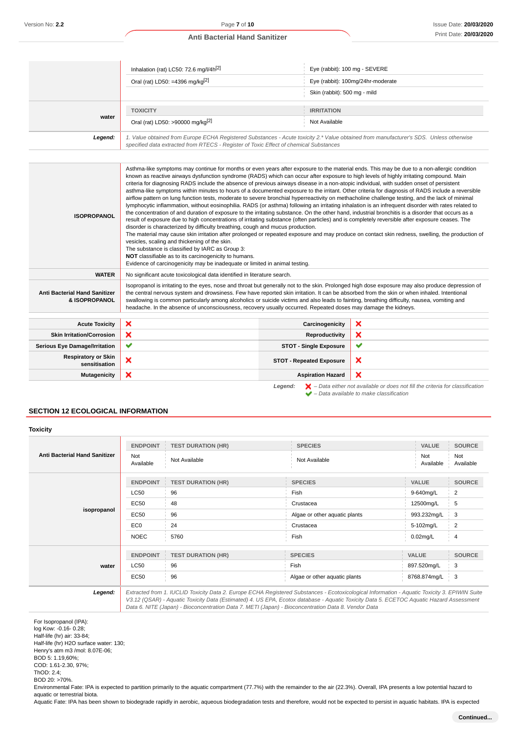|         | Inhalation (rat) LC50: 72.6 mg/l/4h <sup>[2]</sup>                                                                                                                                                                              | Eye (rabbit): 100 mg - SEVERE     |
|---------|---------------------------------------------------------------------------------------------------------------------------------------------------------------------------------------------------------------------------------|-----------------------------------|
|         | Oral (rat) LD50: =4396 mg/kg[2]                                                                                                                                                                                                 | Eye (rabbit): 100mg/24hr-moderate |
|         |                                                                                                                                                                                                                                 | Skin (rabbit): 500 mg - mild      |
| water   | <b>TOXICITY</b>                                                                                                                                                                                                                 | <b>IRRITATION</b>                 |
|         | Oral (rat) LD50: >90000 mg/kg <sup>[2]</sup>                                                                                                                                                                                    | Not Available                     |
| Legend: | 1. Value obtained from Europe ECHA Registered Substances - Acute toxicity 2.* Value obtained from manufacturer's SDS. Unless otherwise<br>specified data extracted from RTECS - Register of Toxic Effect of chemical Substances |                                   |

| <b>ISOPROPANOL</b>                                    | Asthma-like symptoms may continue for months or even years after exposure to the material ends. This may be due to a non-allergic condition<br>known as reactive airways dysfunction syndrome (RADS) which can occur after exposure to high levels of highly irritating compound. Main<br>criteria for diagnosing RADS include the absence of previous airways disease in a non-atopic individual, with sudden onset of persistent<br>asthma-like symptoms within minutes to hours of a documented exposure to the irritant. Other criteria for diagnosis of RADS include a reversible<br>airflow pattern on lung function tests, moderate to severe bronchial hyperreactivity on methacholine challenge testing, and the lack of minimal<br>lymphocytic inflammation, without eosinophilia. RADS (or asthma) following an irritating inhalation is an infrequent disorder with rates related to<br>the concentration of and duration of exposure to the irritating substance. On the other hand, industrial bronchitis is a disorder that occurs as a<br>result of exposure due to high concentrations of irritating substance (often particles) and is completely reversible after exposure ceases. The<br>disorder is characterized by difficulty breathing, cough and mucus production.<br>The material may cause skin irritation after prolonged or repeated exposure and may produce on contact skin redness, swelling, the production of<br>vesicles, scaling and thickening of the skin.<br>The substance is classified by IARC as Group 3:<br>NOT classifiable as to its carcinogenicity to humans.<br>Evidence of carcinogenicity may be inadequate or limited in animal testing. |                                 |                                                                                                                                                                     |
|-------------------------------------------------------|---------------------------------------------------------------------------------------------------------------------------------------------------------------------------------------------------------------------------------------------------------------------------------------------------------------------------------------------------------------------------------------------------------------------------------------------------------------------------------------------------------------------------------------------------------------------------------------------------------------------------------------------------------------------------------------------------------------------------------------------------------------------------------------------------------------------------------------------------------------------------------------------------------------------------------------------------------------------------------------------------------------------------------------------------------------------------------------------------------------------------------------------------------------------------------------------------------------------------------------------------------------------------------------------------------------------------------------------------------------------------------------------------------------------------------------------------------------------------------------------------------------------------------------------------------------------------------------------------------------------------------------------------------------------------------------------|---------------------------------|---------------------------------------------------------------------------------------------------------------------------------------------------------------------|
| <b>WATER</b>                                          | No significant acute toxicological data identified in literature search.                                                                                                                                                                                                                                                                                                                                                                                                                                                                                                                                                                                                                                                                                                                                                                                                                                                                                                                                                                                                                                                                                                                                                                                                                                                                                                                                                                                                                                                                                                                                                                                                                    |                                 |                                                                                                                                                                     |
| <b>Anti Bacterial Hand Sanitizer</b><br>& ISOPROPANOL | Isopropanol is irritating to the eyes, nose and throat but generally not to the skin. Prolonged high dose exposure may also produce depression of<br>the central nervous system and drowsiness. Few have reported skin irritation. It can be absorbed from the skin or when inhaled. Intentional<br>swallowing is common particularly among alcoholics or suicide victims and also leads to fainting, breathing difficulty, nausea, vomiting and<br>headache. In the absence of unconsciousness, recovery usually occurred. Repeated doses may damage the kidneys.                                                                                                                                                                                                                                                                                                                                                                                                                                                                                                                                                                                                                                                                                                                                                                                                                                                                                                                                                                                                                                                                                                                          |                                 |                                                                                                                                                                     |
| <b>Acute Toxicity</b>                                 | ×                                                                                                                                                                                                                                                                                                                                                                                                                                                                                                                                                                                                                                                                                                                                                                                                                                                                                                                                                                                                                                                                                                                                                                                                                                                                                                                                                                                                                                                                                                                                                                                                                                                                                           | Carcinogenicity                 | ×                                                                                                                                                                   |
| <b>Skin Irritation/Corrosion</b>                      | ×                                                                                                                                                                                                                                                                                                                                                                                                                                                                                                                                                                                                                                                                                                                                                                                                                                                                                                                                                                                                                                                                                                                                                                                                                                                                                                                                                                                                                                                                                                                                                                                                                                                                                           | Reproductivity                  | ×                                                                                                                                                                   |
| <b>Serious Eye Damage/Irritation</b>                  | $\checkmark$                                                                                                                                                                                                                                                                                                                                                                                                                                                                                                                                                                                                                                                                                                                                                                                                                                                                                                                                                                                                                                                                                                                                                                                                                                                                                                                                                                                                                                                                                                                                                                                                                                                                                | <b>STOT - Single Exposure</b>   | ✔                                                                                                                                                                   |
| <b>Respiratory or Skin</b><br>sensitisation           | ×                                                                                                                                                                                                                                                                                                                                                                                                                                                                                                                                                                                                                                                                                                                                                                                                                                                                                                                                                                                                                                                                                                                                                                                                                                                                                                                                                                                                                                                                                                                                                                                                                                                                                           | <b>STOT - Repeated Exposure</b> | ×                                                                                                                                                                   |
| <b>Mutagenicity</b>                                   | ×                                                                                                                                                                                                                                                                                                                                                                                                                                                                                                                                                                                                                                                                                                                                                                                                                                                                                                                                                                                                                                                                                                                                                                                                                                                                                                                                                                                                                                                                                                                                                                                                                                                                                           | <b>Aspiration Hazard</b>        | $\boldsymbol{\mathsf{x}}$                                                                                                                                           |
|                                                       |                                                                                                                                                                                                                                                                                                                                                                                                                                                                                                                                                                                                                                                                                                                                                                                                                                                                                                                                                                                                                                                                                                                                                                                                                                                                                                                                                                                                                                                                                                                                                                                                                                                                                             | Legend:                         | $\blacktriangleright$ - Data either not available or does not fill the criteria for classification<br>$\blacktriangleright$ - Data available to make classification |

# **SECTION 12 ECOLOGICAL INFORMATION**

#### **Toxicity**

| <b>Anti Bacterial Hand Sanitizer</b> | <b>ENDPOINT</b><br>Not<br>Available | <b>TEST DURATION (HR)</b><br>Not Available | <b>SPECIES</b><br>Not Available                                                                                                                                                                                                                                                                                                                                                                                                                                                                                  | <b>VALUE</b><br>Not<br>Available | <b>SOURCE</b><br>Not<br>Available |
|--------------------------------------|-------------------------------------|--------------------------------------------|------------------------------------------------------------------------------------------------------------------------------------------------------------------------------------------------------------------------------------------------------------------------------------------------------------------------------------------------------------------------------------------------------------------------------------------------------------------------------------------------------------------|----------------------------------|-----------------------------------|
|                                      | <b>ENDPOINT</b>                     | <b>TEST DURATION (HR)</b>                  | <b>SPECIES</b>                                                                                                                                                                                                                                                                                                                                                                                                                                                                                                   | <b>VALUE</b>                     | <b>SOURCE</b>                     |
|                                      | <b>LC50</b>                         | 96                                         | Fish                                                                                                                                                                                                                                                                                                                                                                                                                                                                                                             | 9-640mg/L                        | 2                                 |
|                                      | EC50                                | 48                                         | Crustacea                                                                                                                                                                                                                                                                                                                                                                                                                                                                                                        | 12500mg/L                        | 5                                 |
| isopropanol                          | <b>EC50</b>                         | 96                                         | Algae or other aquatic plants                                                                                                                                                                                                                                                                                                                                                                                                                                                                                    | 993.232mg/L                      | 3                                 |
|                                      | EC <sub>0</sub>                     | 24                                         | Crustacea                                                                                                                                                                                                                                                                                                                                                                                                                                                                                                        | 5-102mg/L                        | 2                                 |
|                                      | <b>NOEC</b>                         | 5760                                       | Fish                                                                                                                                                                                                                                                                                                                                                                                                                                                                                                             | $0.02$ mg/L                      | $\overline{4}$                    |
| water                                | <b>ENDPOINT</b>                     | <b>TEST DURATION (HR)</b>                  | <b>SPECIES</b>                                                                                                                                                                                                                                                                                                                                                                                                                                                                                                   | <b>VALUE</b>                     | <b>SOURCE</b>                     |
|                                      | <b>LC50</b>                         | 96                                         | Fish                                                                                                                                                                                                                                                                                                                                                                                                                                                                                                             | 897.520mg/L                      | 3                                 |
|                                      | <b>EC50</b>                         | 96                                         | Algae or other aquatic plants                                                                                                                                                                                                                                                                                                                                                                                                                                                                                    | 8768.874mg/L                     | 3                                 |
| Legend:                              |                                     |                                            | Extracted from 1. IUCLID Toxicity Data 2. Europe ECHA Registered Substances - Ecotoxicological Information - Aquatic Toxicity 3. EPIWIN Suite<br>$\overline{10}$ $\overline{10}$ $\overline{10}$ $\overline{10}$ $\overline{10}$ $\overline{10}$ $\overline{10}$ $\overline{10}$ $\overline{10}$ $\overline{10}$ $\overline{10}$ $\overline{10}$ $\overline{10}$ $\overline{10}$ $\overline{10}$ $\overline{10}$ $\overline{10}$ $\overline{10}$ $\overline{10}$ $\overline{10}$ $\overline{10}$ $\overline{10}$ |                                  |                                   |

V3.12 (QSAR) - Aquatic Toxicity Data (Estimated) 4. US EPA, Ecotox database - Aquatic Toxicity Data 5. ECETOC Aquatic Hazard Assessment Data 6. NITE (Japan) - Bioconcentration Data 7. METI (Japan) - Bioconcentration Data 8. Vendor Data

For Isopropanol (IPA): log Kow: -0.16- 0.28; Half-life (hr) air: 33-84;

Half-life (hr) H2O surface water: 130;

Henry's atm m3 /mol: 8.07E-06;

BOD 5: 1.19,60%;

COD: 1.61-2.30, 97%;

ThOD: 2.4;

BOD 20: >70%.

Environmental Fate: IPA is expected to partition primarily to the aquatic compartment (77.7%) with the remainder to the air (22.3%). Overall, IPA presents a low potential hazard to aquatic or terrestrial biota.

Aquatic Fate: IPA has been shown to biodegrade rapidly in aerobic, aqueous biodegradation tests and therefore, would not be expected to persist in aquatic habitats. IPA is expected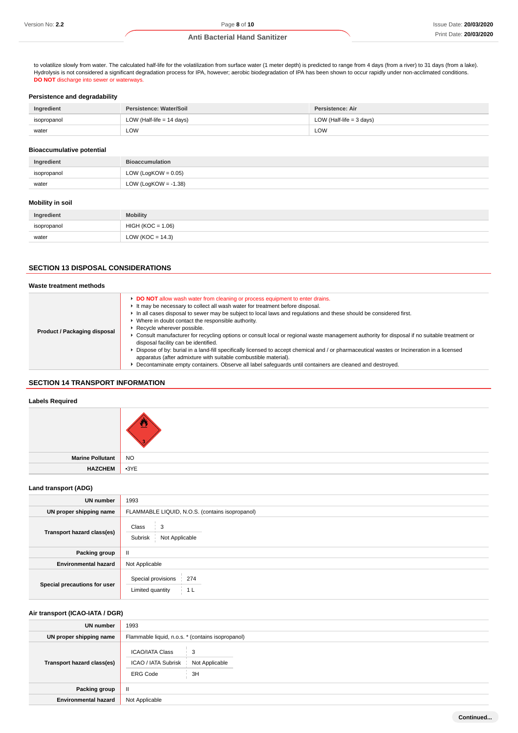to volatilize slowly from water. The calculated half-life for the volatilization from surface water (1 meter depth) is predicted to range from 4 days (from a river) to 31 days (from a lake). Hydrolysis is not considered a significant degradation process for IPA, however; aerobic biodegradation of IPA has been shown to occur rapidly under non-acclimated conditions. **DO NOT** discharge into sewer or waterways.

#### **Persistence and degradability**

| Ingredient  | Persistence: Water/Soil     | Persistence: Air           |
|-------------|-----------------------------|----------------------------|
| isopropanol | LOW (Half-life $= 14$ days) | LOW (Half-life $=$ 3 days) |
| water       | LOW                         | LOW                        |

#### **Bioaccumulative potential**

| Ingredient  | <b>Bioaccumulation</b>  |
|-------------|-------------------------|
| isopropanol | LOW (LogKOW = $0.05$ )  |
| water       | LOW (LogKOW = $-1.38$ ) |
|             |                         |

#### **Mobility in soil**

| Ingredient  | <b>Mobility</b>      |
|-------------|----------------------|
| isopropanol | $HIGH (KOC = 1.06)$  |
| water       | LOW ( $KOC = 14.3$ ) |

# **SECTION 13 DISPOSAL CONSIDERATIONS**

#### **Waste treatment methods Product / Packaging disposal DO NOT** allow wash water from cleaning or process equipment to enter drains. It may be necessary to collect all wash water for treatment before disposal. In all cases disposal to sewer may be subject to local laws and regulations and these should be considered first. Where in doubt contact the responsible authority. **Recycle wherever possible.** Consult manufacturer for recycling options or consult local or regional waste management authority for disposal if no suitable treatment or disposal facility can be identified. ▶ Dispose of by: burial in a land-fill specifically licensed to accept chemical and / or pharmaceutical wastes or Incineration in a licensed apparatus (after admixture with suitable combustible material). Decontaminate empty containers. Observe all label safeguards until containers are cleaned and destroyed.

# **SECTION 14 TRANSPORT INFORMATION**

## **Labels Required**

| Marine Pollutant NO |  |
|---------------------|--|
| HAZCHEM 3YE         |  |

#### **Land transport (ADG)**

| <b>UN</b> number             | 1993                                                            |
|------------------------------|-----------------------------------------------------------------|
| UN proper shipping name      | FLAMMABLE LIQUID, N.O.S. (contains isopropanol)                 |
| Transport hazard class(es)   | Class<br>3<br>Subrisk<br>Not Applicable                         |
| <b>Packing group</b>         | $\mathbf{II}$                                                   |
| <b>Environmental hazard</b>  | Not Applicable                                                  |
| Special precautions for user | Special provisions<br>274<br>Limited quantity<br>1 <sub>L</sub> |

### **Air transport (ICAO-IATA / DGR)**

| <b>UN number</b>            | 1993                                                                                   |
|-----------------------------|----------------------------------------------------------------------------------------|
| UN proper shipping name     | Flammable liquid, n.o.s. * (contains isopropanol)                                      |
| Transport hazard class(es)  | ICAO/IATA Class<br>3<br>ICAO / IATA Subrisk<br>Not Applicable<br>3H<br><b>ERG Code</b> |
| Packing group               | Ш                                                                                      |
| <b>Environmental hazard</b> | Not Applicable                                                                         |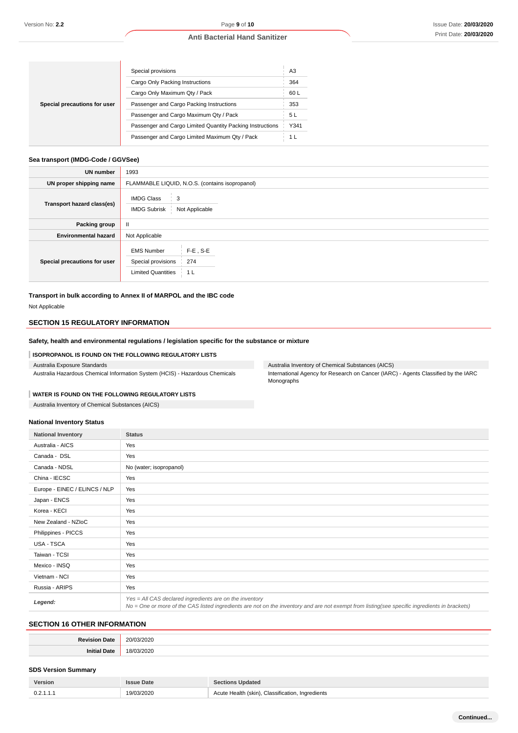| Special precautions for user | Special provisions                                        | A3             |
|------------------------------|-----------------------------------------------------------|----------------|
|                              | Cargo Only Packing Instructions                           | 364            |
|                              | Cargo Only Maximum Qty / Pack                             | 60 L           |
|                              | Passenger and Cargo Packing Instructions                  | 353            |
|                              | Passenger and Cargo Maximum Qty / Pack                    | 5 L            |
|                              | Passenger and Cargo Limited Quantity Packing Instructions | Y341           |
|                              | Passenger and Cargo Limited Maximum Qty / Pack            | 1 <sub>L</sub> |

# **Sea transport (IMDG-Code / GGVSee)**

| UN number                    | 1993                                                                                                |
|------------------------------|-----------------------------------------------------------------------------------------------------|
| UN proper shipping name      | FLAMMABLE LIQUID, N.O.S. (contains isopropanol)                                                     |
| Transport hazard class(es)   | <b>IMDG Class</b><br>3<br><b>IMDG Subrisk</b><br>Not Applicable                                     |
| Packing group                | $\mathbf{II}$                                                                                       |
| <b>Environmental hazard</b>  | Not Applicable                                                                                      |
| Special precautions for user | $F-E$ . S-E<br><b>EMS Number</b><br>Special provisions<br>274<br><b>Limited Quantities</b><br>- 1 L |

**Transport in bulk according to Annex II of MARPOL and the IBC code** Not Applicable

# **SECTION 15 REGULATORY INFORMATION**

# **Safety, health and environmental regulations / legislation specific for the substance or mixture**

#### **ISOPROPANOL IS FOUND ON THE FOLLOWING REGULATORY LISTS**

| Australia Exposure Standards                                                 |  |
|------------------------------------------------------------------------------|--|
| Australia Hazardous Chemical Information System (HCIS) - Hazardous Chemicals |  |

Australia Inventory of Chemical Substances (AICS) International Agency for Research on Cancer (IARC) - Agents Classified by the IARC Monographs

# **WATER IS FOUND ON THE FOLLOWING REGULATORY LISTS**

Australia Inventory of Chemical Substances (AICS)

#### **National Inventory Status**

| <b>National Inventory</b>     | <b>Status</b>                                                                                                                                                                                            |  |  |
|-------------------------------|----------------------------------------------------------------------------------------------------------------------------------------------------------------------------------------------------------|--|--|
| Australia - AICS              | Yes                                                                                                                                                                                                      |  |  |
| Canada - DSL                  | Yes                                                                                                                                                                                                      |  |  |
| Canada - NDSL                 | No (water; isopropanol)                                                                                                                                                                                  |  |  |
| China - IECSC                 | Yes                                                                                                                                                                                                      |  |  |
| Europe - EINEC / ELINCS / NLP | Yes                                                                                                                                                                                                      |  |  |
| Japan - ENCS                  | Yes                                                                                                                                                                                                      |  |  |
| Korea - KECI                  | Yes                                                                                                                                                                                                      |  |  |
| New Zealand - NZIoC           | Yes                                                                                                                                                                                                      |  |  |
| Philippines - PICCS           | Yes                                                                                                                                                                                                      |  |  |
| USA - TSCA                    | Yes                                                                                                                                                                                                      |  |  |
| Taiwan - TCSI                 | Yes                                                                                                                                                                                                      |  |  |
| Mexico - INSQ                 | Yes                                                                                                                                                                                                      |  |  |
| Vietnam - NCI                 | Yes                                                                                                                                                                                                      |  |  |
| Russia - ARIPS                | Yes                                                                                                                                                                                                      |  |  |
| Legend:                       | Yes = All CAS declared ingredients are on the inventory<br>No = One or more of the CAS listed ingredients are not on the inventory and are not exempt from listing(see specific ingredients in brackets) |  |  |

# **SECTION 16 OTHER INFORMATION**

# **SDS Version Summary**

| Version   | <b>issue Date</b> | <b>Sections Updated</b>                          |
|-----------|-------------------|--------------------------------------------------|
| 0.2.1.1.1 | 19/03/2020        | Acute Health (skin), Classification, Ingredients |